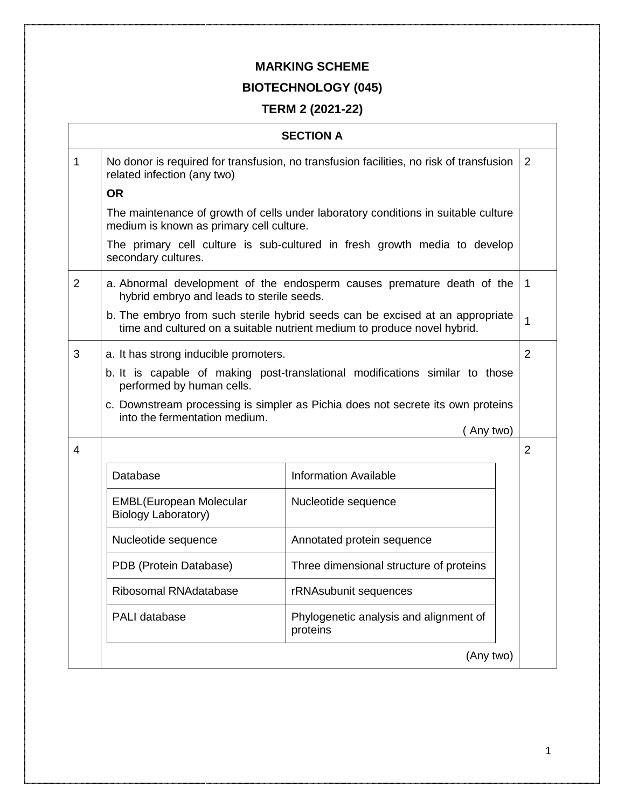## **MARKING SCHEME**

## **BIOTECHNOLOGY (045)**

## **TERM 2 (2021-22)**

|   |                                                                                                                                | <b>SECTION A</b>                                                                                                                                          |                |
|---|--------------------------------------------------------------------------------------------------------------------------------|-----------------------------------------------------------------------------------------------------------------------------------------------------------|----------------|
| 1 | No donor is required for transfusion, no transfusion facilities, no risk of transfusion<br>related infection (any two)         |                                                                                                                                                           | 2              |
|   | <b>OR</b>                                                                                                                      |                                                                                                                                                           |                |
|   | The maintenance of growth of cells under laboratory conditions in suitable culture<br>medium is known as primary cell culture. |                                                                                                                                                           |                |
|   | secondary cultures.                                                                                                            | The primary cell culture is sub-cultured in fresh growth media to develop                                                                                 |                |
| 2 | hybrid embryo and leads to sterile seeds.                                                                                      | a. Abnormal development of the endosperm causes premature death of the                                                                                    | $\overline{1}$ |
|   |                                                                                                                                | b. The embryo from such sterile hybrid seeds can be excised at an appropriate<br>time and cultured on a suitable nutrient medium to produce novel hybrid. | $\overline{1}$ |
| 3 | a. It has strong inducible promoters.                                                                                          |                                                                                                                                                           | $\overline{2}$ |
|   | b. It is capable of making post-translational modifications similar to those<br>performed by human cells.                      |                                                                                                                                                           |                |
|   | c. Downstream processing is simpler as Pichia does not secrete its own proteins<br>into the fermentation medium.<br>Any two)   |                                                                                                                                                           |                |
| 4 |                                                                                                                                |                                                                                                                                                           |                |
|   | Database                                                                                                                       | <b>Information Available</b>                                                                                                                              |                |
|   | <b>EMBL(European Molecular</b><br>Biology Laboratory)                                                                          | Nucleotide sequence                                                                                                                                       |                |
|   | Nucleotide sequence                                                                                                            | Annotated protein sequence                                                                                                                                |                |
|   | PDB (Protein Database)                                                                                                         | Three dimensional structure of proteins                                                                                                                   |                |
|   | Ribosomal RNAdatabase                                                                                                          | rRNAsubunit sequences                                                                                                                                     |                |
|   | PALI database                                                                                                                  | Phylogenetic analysis and alignment of<br>proteins                                                                                                        |                |
|   | (Any two)                                                                                                                      |                                                                                                                                                           |                |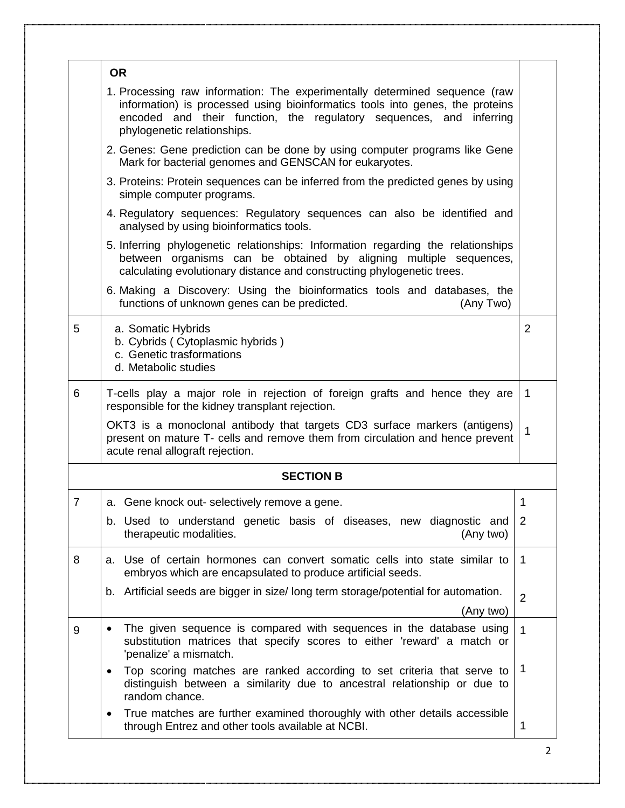|   | <b>OR</b>                                                                                                                                                                                                                                                         |                |
|---|-------------------------------------------------------------------------------------------------------------------------------------------------------------------------------------------------------------------------------------------------------------------|----------------|
|   | 1. Processing raw information: The experimentally determined sequence (raw<br>information) is processed using bioinformatics tools into genes, the proteins<br>encoded and their function, the regulatory sequences, and inferring<br>phylogenetic relationships. |                |
|   | 2. Genes: Gene prediction can be done by using computer programs like Gene<br>Mark for bacterial genomes and GENSCAN for eukaryotes.                                                                                                                              |                |
|   | 3. Proteins: Protein sequences can be inferred from the predicted genes by using<br>simple computer programs.                                                                                                                                                     |                |
|   | 4. Regulatory sequences: Regulatory sequences can also be identified and<br>analysed by using bioinformatics tools.                                                                                                                                               |                |
|   | 5. Inferring phylogenetic relationships: Information regarding the relationships<br>between organisms can be obtained by aligning multiple sequences,<br>calculating evolutionary distance and constructing phylogenetic trees.                                   |                |
|   | 6. Making a Discovery: Using the bioinformatics tools and databases, the<br>functions of unknown genes can be predicted.<br>(Any Two)                                                                                                                             |                |
| 5 | a. Somatic Hybrids<br>b. Cybrids (Cytoplasmic hybrids)<br>c. Genetic trasformations<br>d. Metabolic studies                                                                                                                                                       | $\overline{2}$ |
| 6 | T-cells play a major role in rejection of foreign grafts and hence they are<br>responsible for the kidney transplant rejection.                                                                                                                                   | 1              |
|   | OKT3 is a monoclonal antibody that targets CD3 surface markers (antigens)<br>present on mature T- cells and remove them from circulation and hence prevent<br>acute renal allograft rejection.                                                                    | 1              |
|   | <b>SECTION B</b>                                                                                                                                                                                                                                                  |                |
| 7 | a. Gene knock out- selectively remove a gene.                                                                                                                                                                                                                     | 1              |
|   | b. Used to understand genetic basis of diseases, new diagnostic and<br>therapeutic modalities.<br>(Any two)                                                                                                                                                       | 2              |
| 8 | a. Use of certain hormones can convert somatic cells into state similar to<br>embryos which are encapsulated to produce artificial seeds.                                                                                                                         | $\overline{1}$ |
|   | b. Artificial seeds are bigger in size/ long term storage/potential for automation.<br>(Any two)                                                                                                                                                                  | $\overline{2}$ |
| 9 | The given sequence is compared with sequences in the database using<br>$\bullet$<br>substitution matrices that specify scores to either 'reward' a match or<br>'penalize' a mismatch.                                                                             | 1              |
|   | Top scoring matches are ranked according to set criteria that serve to<br>distinguish between a similarity due to ancestral relationship or due to<br>random chance.                                                                                              | 1              |
|   | True matches are further examined thoroughly with other details accessible<br>through Entrez and other tools available at NCBI.                                                                                                                                   | 1              |